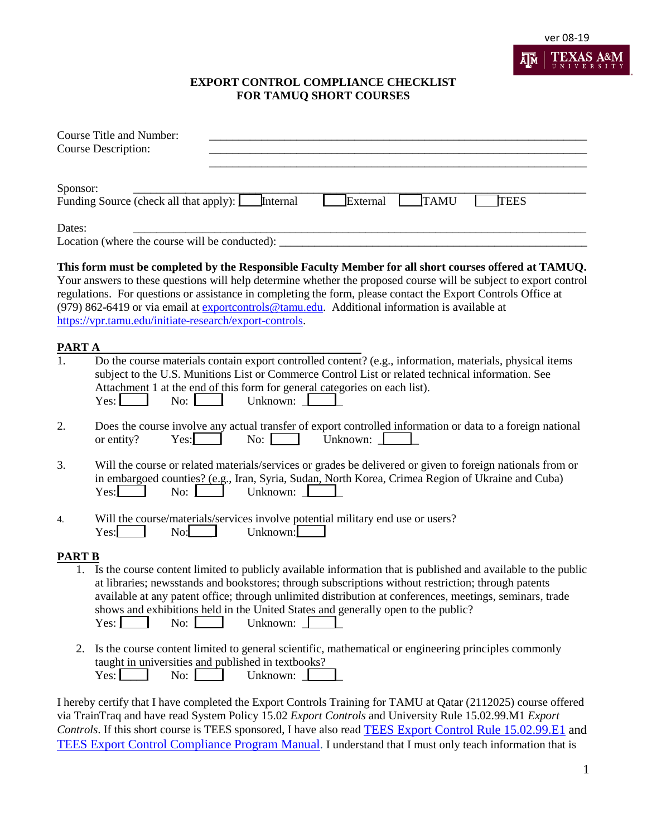

## **EXPORT CONTROL COMPLIANCE CHECKLIST FOR TAMUQ SHORT COURSES**

|               | <b>Course Title and Number:</b><br><b>Course Description:</b>                                                                                                                                                                                                                                                                                                                                                                                                                                            |
|---------------|----------------------------------------------------------------------------------------------------------------------------------------------------------------------------------------------------------------------------------------------------------------------------------------------------------------------------------------------------------------------------------------------------------------------------------------------------------------------------------------------------------|
| Sponsor:      | Internal<br>External<br><b>TAMU</b><br><b>TEES</b><br>Funding Source (check all that apply):                                                                                                                                                                                                                                                                                                                                                                                                             |
| Dates:        | Location (where the course will be conducted): __________________________________                                                                                                                                                                                                                                                                                                                                                                                                                        |
|               | This form must be completed by the Responsible Faculty Member for all short courses offered at TAMUQ.<br>Your answers to these questions will help determine whether the proposed course will be subject to export control<br>regulations. For questions or assistance in completing the form, please contact the Export Controls Office at<br>(979) 862-6419 or via email at exportcontrols@tamu.edu. Additional information is available at<br>https://vpr.tamu.edu/initiate-research/export-controls. |
| PART A        |                                                                                                                                                                                                                                                                                                                                                                                                                                                                                                          |
| 1.            | Do the course materials contain export controlled content? (e.g., information, materials, physical items<br>subject to the U.S. Munitions List or Commerce Control List or related technical information. See<br>Attachment 1 at the end of this form for general categories on each list).<br>Unknown:<br>$Yes:$ $\Box$<br>No:                                                                                                                                                                          |
| 2.            | Does the course involve any actual transfer of export controlled information or data to a foreign national<br>Unknown:<br>No:<br>or entity?<br>Yes:                                                                                                                                                                                                                                                                                                                                                      |
| 3.            | Will the course or related materials/services or grades be delivered or given to foreign nationals from or<br>in embargoed counties? (e.g., Iran, Syria, Sudan, North Korea, Crimea Region of Ukraine and Cuba)<br>Unknown:<br>Yes:<br>No: $\blacksquare$                                                                                                                                                                                                                                                |
| 4.            | Will the course/materials/services involve potential military end use or users?<br>Unknown:<br>Yes:<br>No:                                                                                                                                                                                                                                                                                                                                                                                               |
| <b>PART B</b> |                                                                                                                                                                                                                                                                                                                                                                                                                                                                                                          |
| 1.            | Is the course content limited to publicly available information that is published and available to the public<br>at libraries; newsstands and bookstores; through subscriptions without restriction; through patents<br>available at any patent office; through unlimited distribution at conferences, meetings, seminars, trade<br>shows and exhibitions held in the United States and generally open to the public?<br>Unknown: $\Box$<br>No:<br>Yes:                                                  |
|               | 2. Is the course content limited to general scientific, mathematical or engineering principles commonly<br>taught in universities and published in textbooks?<br>Unknown:<br>Yes:<br>No: $\blacksquare$                                                                                                                                                                                                                                                                                                  |
|               | I hereby certify that I have completed the Export Controls Training for TAMU at Qatar (2112025) course offered<br>via TrainTrag and have read System Policy 15.02 Export Controls and University Pule 15.02.00 M1 Export                                                                                                                                                                                                                                                                                 |

via TrainTraq and have read System Policy 15.02 *Export Controls* and University Rule 15.02.99.M1 *Export Controls*. If this short course is TEES sponsored, I have also read [TEES Export Control Rule 15.02.99.E1](https://tees.tamu.edu/media/546764/15-02-99-e1-export-controls-08-2017.pdf) and [TEES Export Control Compliance Program Manual.](https://tees.tamu.edu/media/588899/export-control-compliance-manual-final-12_20_17.pdf) I understand that I must only teach information that is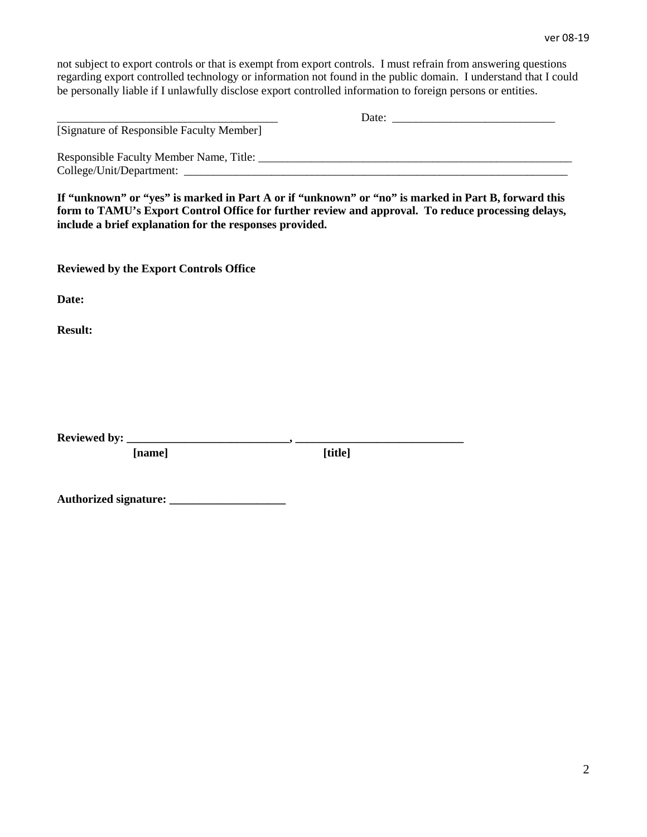not subject to export controls or that is exempt from export controls. I must refrain from answering questions regarding export controlled technology or information not found in the public domain. I understand that I could be personally liable if I unlawfully disclose export controlled information to foreign persons or entities.

| [Signature of Responsible Faculty Member] | Date:<br><u> 1980 - John Stone, Amerikaans en beskriuw fan de Fryske kommunister fan de Fryske kommunister fan de Fryske</u> |
|-------------------------------------------|------------------------------------------------------------------------------------------------------------------------------|
| College/Unit/Department:                  |                                                                                                                              |

**If "unknown" or "yes" is marked in Part A or if "unknown" or "no" is marked in Part B, forward this form to TAMU's Export Control Office for further review and approval. To reduce processing delays, include a brief explanation for the responses provided.** 

**Reviewed by the Export Controls Office**

**Date:**

**Result:**

Reviewed by: \_

 **[name] [title]**

| <b>Authorized signature:</b> |  |
|------------------------------|--|
|------------------------------|--|